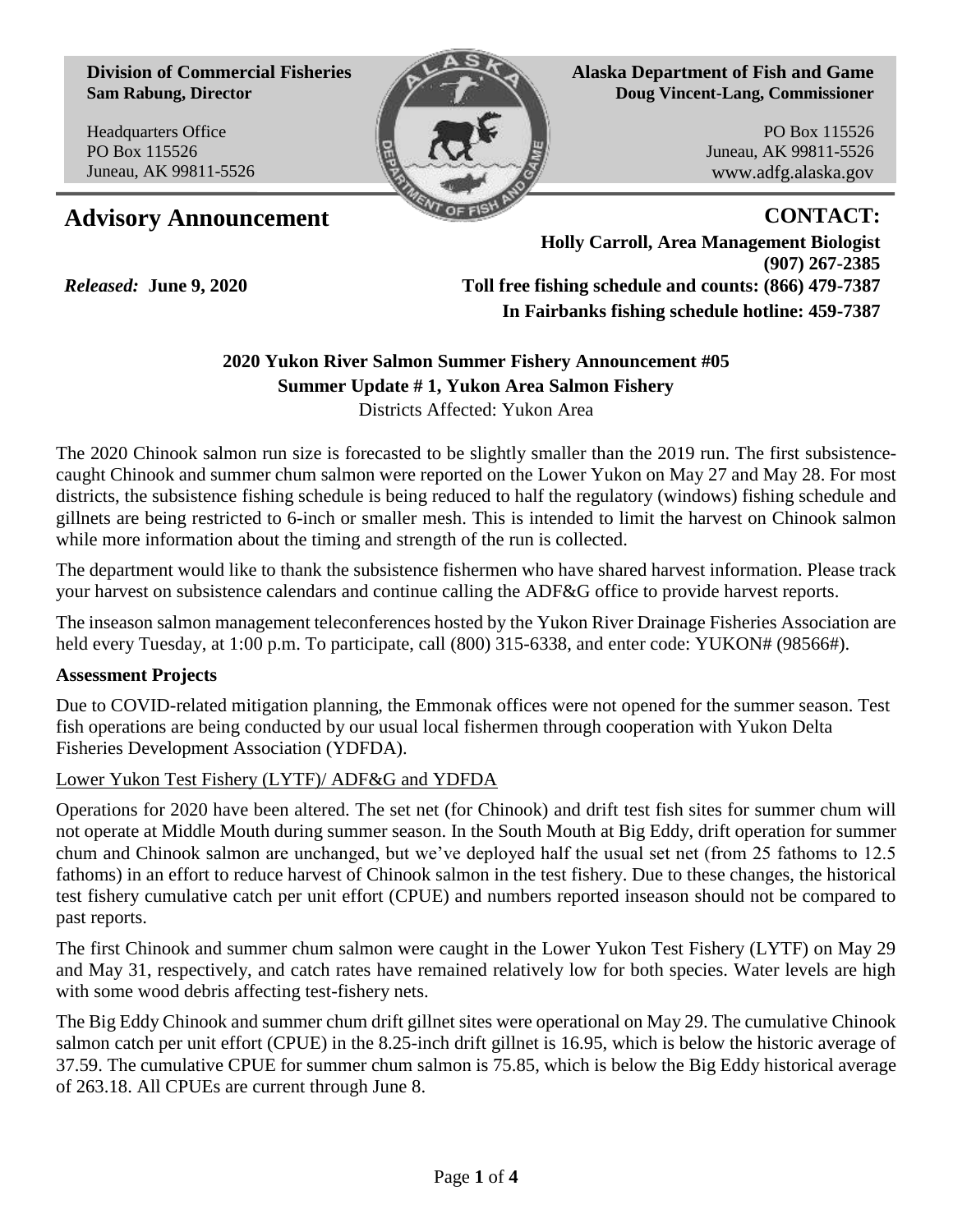**Division of Commercial Fisheries Sam Rabung, Director**

Headquarters Office PO Box 115526 Juneau, AK 99811-5526

*Released:* **June 9, 2020**



**Alaska Department of Fish and Game Doug Vincent-Lang, Commissioner**

> PO Box 115526 Juneau, AK 99811-5526 www.adfg.alaska.gov

## Advisory Announcement **CONTACT:**

**Holly Carroll, Area Management Biologist (907) 267-2385 Toll free fishing schedule and counts: (866) 479-7387 In Fairbanks fishing schedule hotline: 459-7387** 

# **2020 Yukon River Salmon Summer Fishery Announcement #05 Summer Update # 1, Yukon Area Salmon Fishery**

Districts Affected: Yukon Area

The 2020 Chinook salmon run size is forecasted to be slightly smaller than the 2019 run. The first subsistencecaught Chinook and summer chum salmon were reported on the Lower Yukon on May 27 and May 28. For most districts, the subsistence fishing schedule is being reduced to half the regulatory (windows) fishing schedule and gillnets are being restricted to 6-inch or smaller mesh. This is intended to limit the harvest on Chinook salmon while more information about the timing and strength of the run is collected.

The department would like to thank the subsistence fishermen who have shared harvest information. Please track your harvest on subsistence calendars and continue calling the ADF&G office to provide harvest reports.

The inseason salmon management teleconferences hosted by the Yukon River Drainage Fisheries Association are held every Tuesday, at 1:00 p.m. To participate, call (800) 315-6338, and enter code: YUKON# (98566#).

## **Assessment Projects**

Due to COVID-related mitigation planning, the Emmonak offices were not opened for the summer season. Test fish operations are being conducted by our usual local fishermen through cooperation with Yukon Delta Fisheries Development Association (YDFDA).

## Lower Yukon Test Fishery (LYTF)/ ADF&G and YDFDA

Operations for 2020 have been altered. The set net (for Chinook) and drift test fish sites for summer chum will not operate at Middle Mouth during summer season. In the South Mouth at Big Eddy, drift operation for summer chum and Chinook salmon are unchanged, but we've deployed half the usual set net (from 25 fathoms to 12.5 fathoms) in an effort to reduce harvest of Chinook salmon in the test fishery. Due to these changes, the historical test fishery cumulative catch per unit effort (CPUE) and numbers reported inseason should not be compared to past reports.

The first Chinook and summer chum salmon were caught in the Lower Yukon Test Fishery (LYTF) on May 29 and May 31, respectively, and catch rates have remained relatively low for both species. Water levels are high with some wood debris affecting test-fishery nets.

The Big Eddy Chinook and summer chum drift gillnet sites were operational on May 29. The cumulative Chinook salmon catch per unit effort (CPUE) in the 8.25-inch drift gillnet is 16.95, which is below the historic average of 37.59. The cumulative CPUE for summer chum salmon is 75.85, which is below the Big Eddy historical average of 263.18. All CPUEs are current through June 8.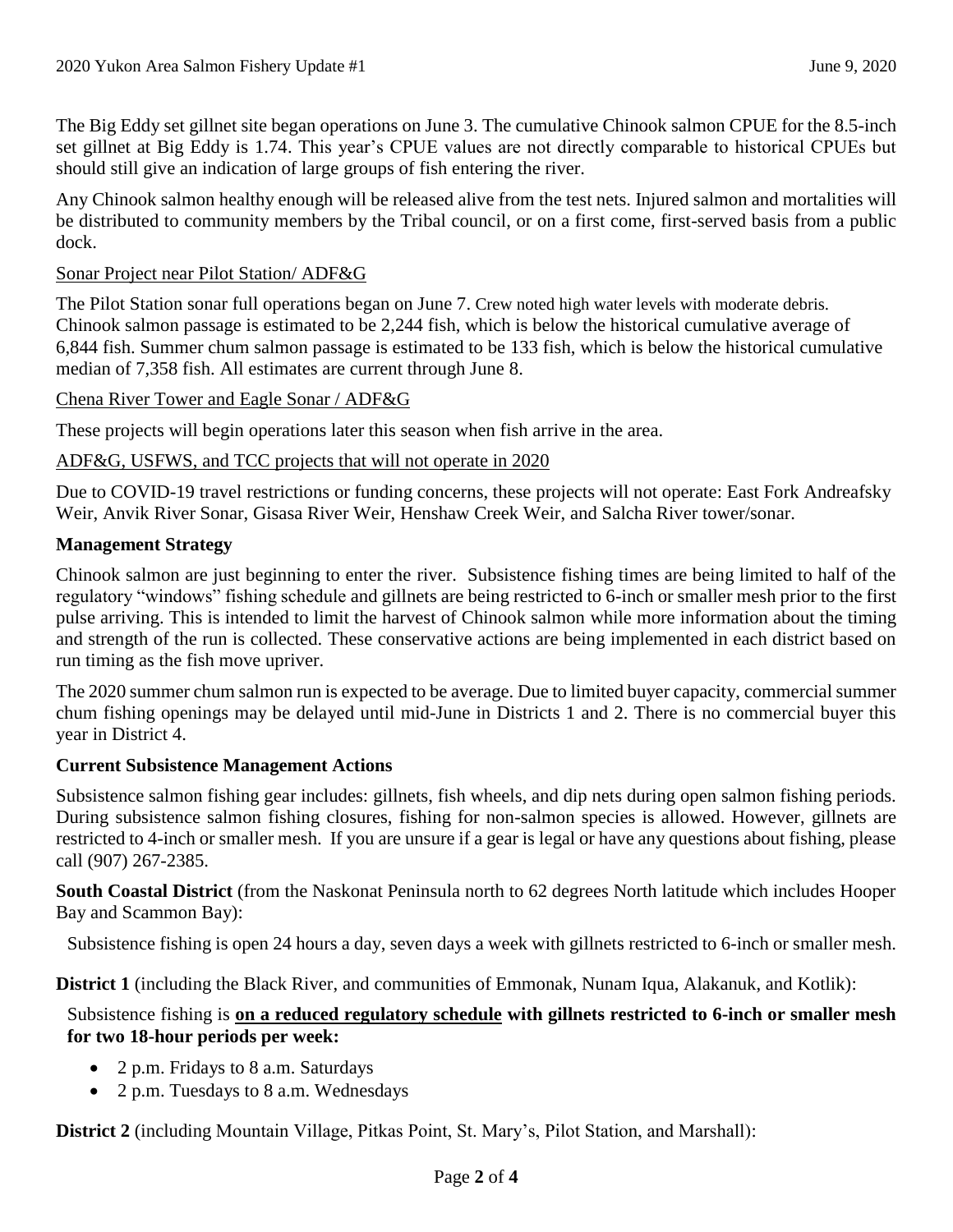The Big Eddy set gillnet site began operations on June 3. The cumulative Chinook salmon CPUE for the 8.5-inch set gillnet at Big Eddy is 1.74. This year's CPUE values are not directly comparable to historical CPUEs but should still give an indication of large groups of fish entering the river.

Any Chinook salmon healthy enough will be released alive from the test nets. Injured salmon and mortalities will be distributed to community members by the Tribal council, or on a first come, first-served basis from a public dock.

#### Sonar Project near Pilot Station/ ADF&G

The Pilot Station sonar full operations began on June 7. Crew noted high water levels with moderate debris. Chinook salmon passage is estimated to be 2,244 fish, which is below the historical cumulative average of 6,844 fish. Summer chum salmon passage is estimated to be 133 fish, which is below the historical cumulative median of 7,358 fish. All estimates are current through June 8.

#### Chena River Tower and Eagle Sonar / ADF&G

These projects will begin operations later this season when fish arrive in the area.

#### ADF&G, USFWS, and TCC projects that will not operate in 2020

Due to COVID-19 travel restrictions or funding concerns, these projects will not operate: East Fork Andreafsky Weir, Anvik River Sonar, Gisasa River Weir, Henshaw Creek Weir, and Salcha River tower/sonar.

#### **Management Strategy**

Chinook salmon are just beginning to enter the river. Subsistence fishing times are being limited to half of the regulatory "windows" fishing schedule and gillnets are being restricted to 6-inch or smaller mesh prior to the first pulse arriving. This is intended to limit the harvest of Chinook salmon while more information about the timing and strength of the run is collected. These conservative actions are being implemented in each district based on run timing as the fish move upriver.

The 2020 summer chum salmon run is expected to be average. Due to limited buyer capacity, commercial summer chum fishing openings may be delayed until mid-June in Districts 1 and 2. There is no commercial buyer this year in District 4.

#### **Current Subsistence Management Actions**

Subsistence salmon fishing gear includes: gillnets, fish wheels, and dip nets during open salmon fishing periods. During subsistence salmon fishing closures, fishing for non-salmon species is allowed. However, gillnets are restricted to 4-inch or smaller mesh. If you are unsure if a gear is legal or have any questions about fishing, please call (907) 267-2385.

**South Coastal District** (from the Naskonat Peninsula north to 62 degrees North latitude which includes Hooper Bay and Scammon Bay):

Subsistence fishing is open 24 hours a day, seven days a week with gillnets restricted to 6-inch or smaller mesh.

**District 1** (including the Black River, and communities of Emmonak, Nunam Iqua, Alakanuk, and Kotlik):

## Subsistence fishing is **on a reduced regulatory schedule with gillnets restricted to 6-inch or smaller mesh for two 18-hour periods per week:**

- 2 p.m. Fridays to 8 a.m. Saturdays
- 2 p.m. Tuesdays to 8 a.m. Wednesdays

**District 2** (including Mountain Village, Pitkas Point, St. Mary's, Pilot Station, and Marshall):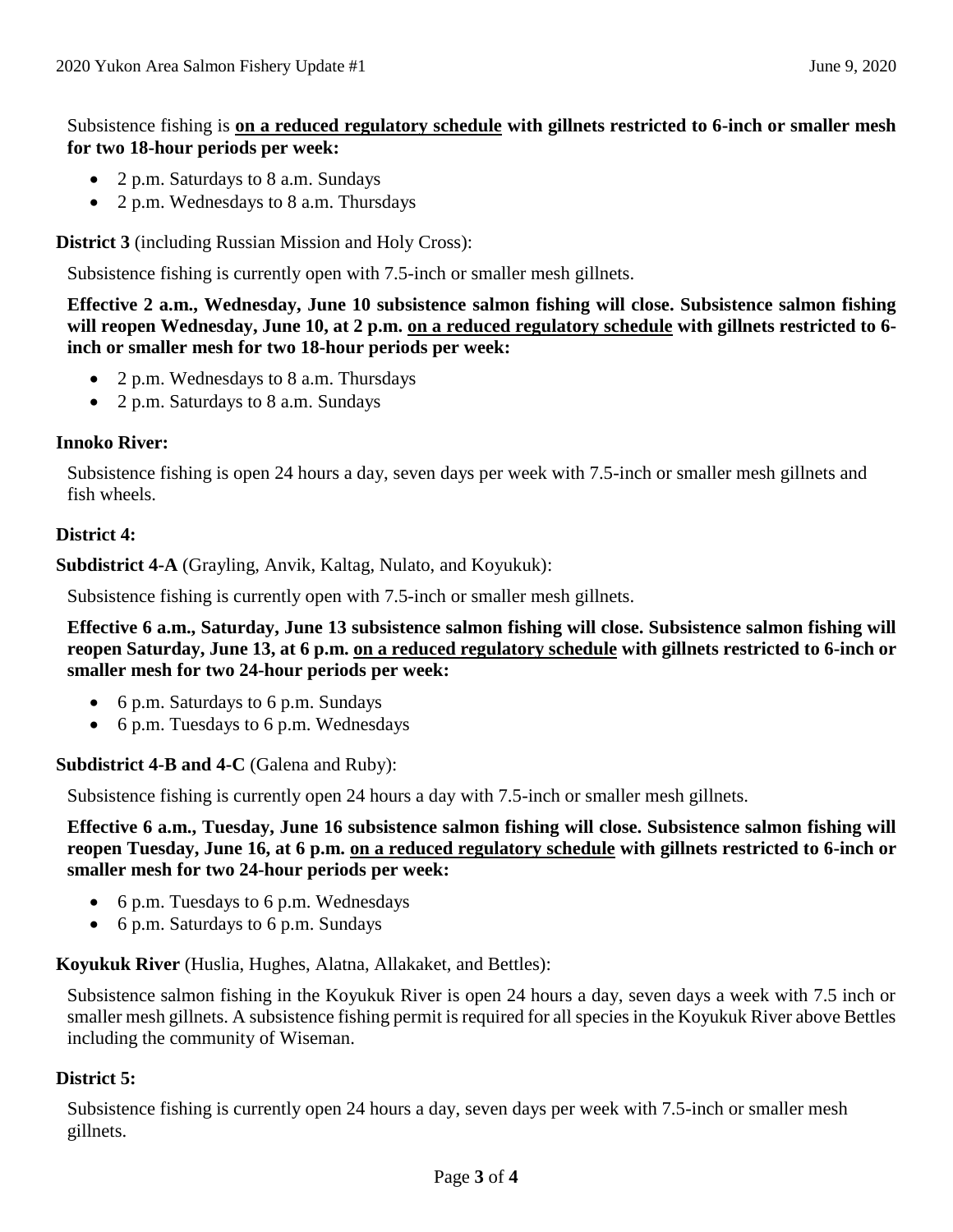## Subsistence fishing is **on a reduced regulatory schedule with gillnets restricted to 6-inch or smaller mesh for two 18-hour periods per week:**

- 2 p.m. Saturdays to 8 a.m. Sundays
- 2 p.m. Wednesdays to 8 a.m. Thursdays

**District 3** (including Russian Mission and Holy Cross):

Subsistence fishing is currently open with 7.5-inch or smaller mesh gillnets.

**Effective 2 a.m., Wednesday, June 10 subsistence salmon fishing will close. Subsistence salmon fishing will reopen Wednesday, June 10, at 2 p.m. on a reduced regulatory schedule with gillnets restricted to 6 inch or smaller mesh for two 18-hour periods per week:**

- 2 p.m. Wednesdays to 8 a.m. Thursdays
- 2 p.m. Saturdays to 8 a.m. Sundays

## **Innoko River:**

Subsistence fishing is open 24 hours a day, seven days per week with 7.5-inch or smaller mesh gillnets and fish wheels.

## **District 4:**

**Subdistrict 4-A** (Grayling, Anvik, Kaltag, Nulato, and Koyukuk):

Subsistence fishing is currently open with 7.5-inch or smaller mesh gillnets.

**Effective 6 a.m., Saturday, June 13 subsistence salmon fishing will close. Subsistence salmon fishing will reopen Saturday, June 13, at 6 p.m. on a reduced regulatory schedule with gillnets restricted to 6-inch or smaller mesh for two 24-hour periods per week:** 

- 6 p.m. Saturdays to 6 p.m. Sundays
- 6 p.m. Tuesdays to 6 p.m. Wednesdays

**Subdistrict 4-B and 4-C** (Galena and Ruby):

Subsistence fishing is currently open 24 hours a day with 7.5-inch or smaller mesh gillnets.

**Effective 6 a.m., Tuesday, June 16 subsistence salmon fishing will close. Subsistence salmon fishing will reopen Tuesday, June 16, at 6 p.m. on a reduced regulatory schedule with gillnets restricted to 6-inch or smaller mesh for two 24-hour periods per week:**

- 6 p.m. Tuesdays to 6 p.m. Wednesdays
- 6 p.m. Saturdays to 6 p.m. Sundays

**Koyukuk River** (Huslia, Hughes, Alatna, Allakaket, and Bettles):

Subsistence salmon fishing in the Koyukuk River is open 24 hours a day, seven days a week with 7.5 inch or smaller mesh gillnets. A subsistence fishing permit is required for all species in the Koyukuk River above Bettles including the community of Wiseman.

## **District 5:**

Subsistence fishing is currently open 24 hours a day, seven days per week with 7.5-inch or smaller mesh gillnets.